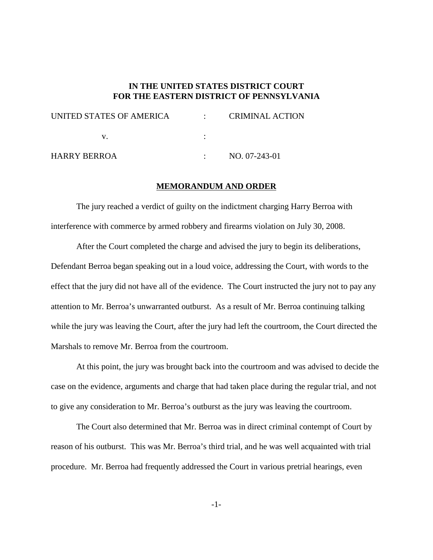## **IN THE UNITED STATES DISTRICT COURT FOR THE EASTERN DISTRICT OF PENNSYLVANIA**

| UNITED STATES OF AMERICA |  | <b>CRIMINAL ACTION</b> |
|--------------------------|--|------------------------|
|                          |  |                        |

## **MEMORANDUM AND ORDER**

The jury reached a verdict of guilty on the indictment charging Harry Berroa with interference with commerce by armed robbery and firearms violation on July 30, 2008.

After the Court completed the charge and advised the jury to begin its deliberations, Defendant Berroa began speaking out in a loud voice, addressing the Court, with words to the effect that the jury did not have all of the evidence. The Court instructed the jury not to pay any attention to Mr. Berroa's unwarranted outburst. As a result of Mr. Berroa continuing talking while the jury was leaving the Court, after the jury had left the courtroom, the Court directed the Marshals to remove Mr. Berroa from the courtroom.

At this point, the jury was brought back into the courtroom and was advised to decide the case on the evidence, arguments and charge that had taken place during the regular trial, and not to give any consideration to Mr. Berroa's outburst as the jury was leaving the courtroom.

The Court also determined that Mr. Berroa was in direct criminal contempt of Court by reason of his outburst. This was Mr. Berroa's third trial, and he was well acquainted with trial procedure. Mr. Berroa had frequently addressed the Court in various pretrial hearings, even

-1-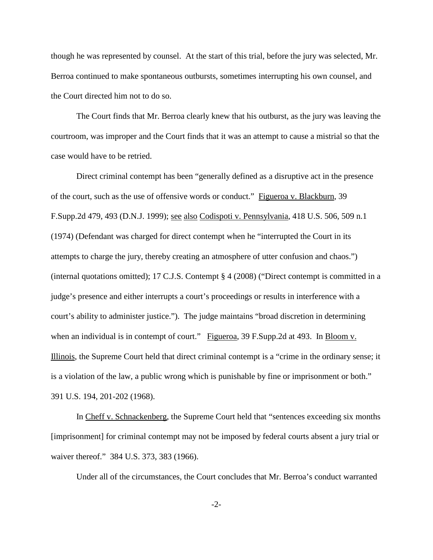though he was represented by counsel. At the start of this trial, before the jury was selected, Mr. Berroa continued to make spontaneous outbursts, sometimes interrupting his own counsel, and the Court directed him not to do so.

The Court finds that Mr. Berroa clearly knew that his outburst, as the jury was leaving the courtroom, was improper and the Court finds that it was an attempt to cause a mistrial so that the case would have to be retried.

Direct criminal contempt has been "generally defined as a disruptive act in the presence of the court, such as the use of offensive words or conduct." Figueroa v. Blackburn, 39 F.Supp.2d 479, 493 (D.N.J. 1999); see also Codispoti v. Pennsylvania, 418 U.S. 506, 509 n.1 (1974) (Defendant was charged for direct contempt when he "interrupted the Court in its attempts to charge the jury, thereby creating an atmosphere of utter confusion and chaos.") (internal quotations omitted); 17 C.J.S. Contempt § 4 (2008) ("Direct contempt is committed in a judge's presence and either interrupts a court's proceedings or results in interference with a court's ability to administer justice."). The judge maintains "broad discretion in determining when an individual is in contempt of court." Figueroa, 39 F.Supp.2d at 493. In Bloom v. Illinois, the Supreme Court held that direct criminal contempt is a "crime in the ordinary sense; it is a violation of the law, a public wrong which is punishable by fine or imprisonment or both." 391 U.S. 194, 201-202 (1968).

In Cheff v. Schnackenberg, the Supreme Court held that "sentences exceeding six months [imprisonment] for criminal contempt may not be imposed by federal courts absent a jury trial or waiver thereof." 384 U.S. 373, 383 (1966).

Under all of the circumstances, the Court concludes that Mr. Berroa's conduct warranted

-2-